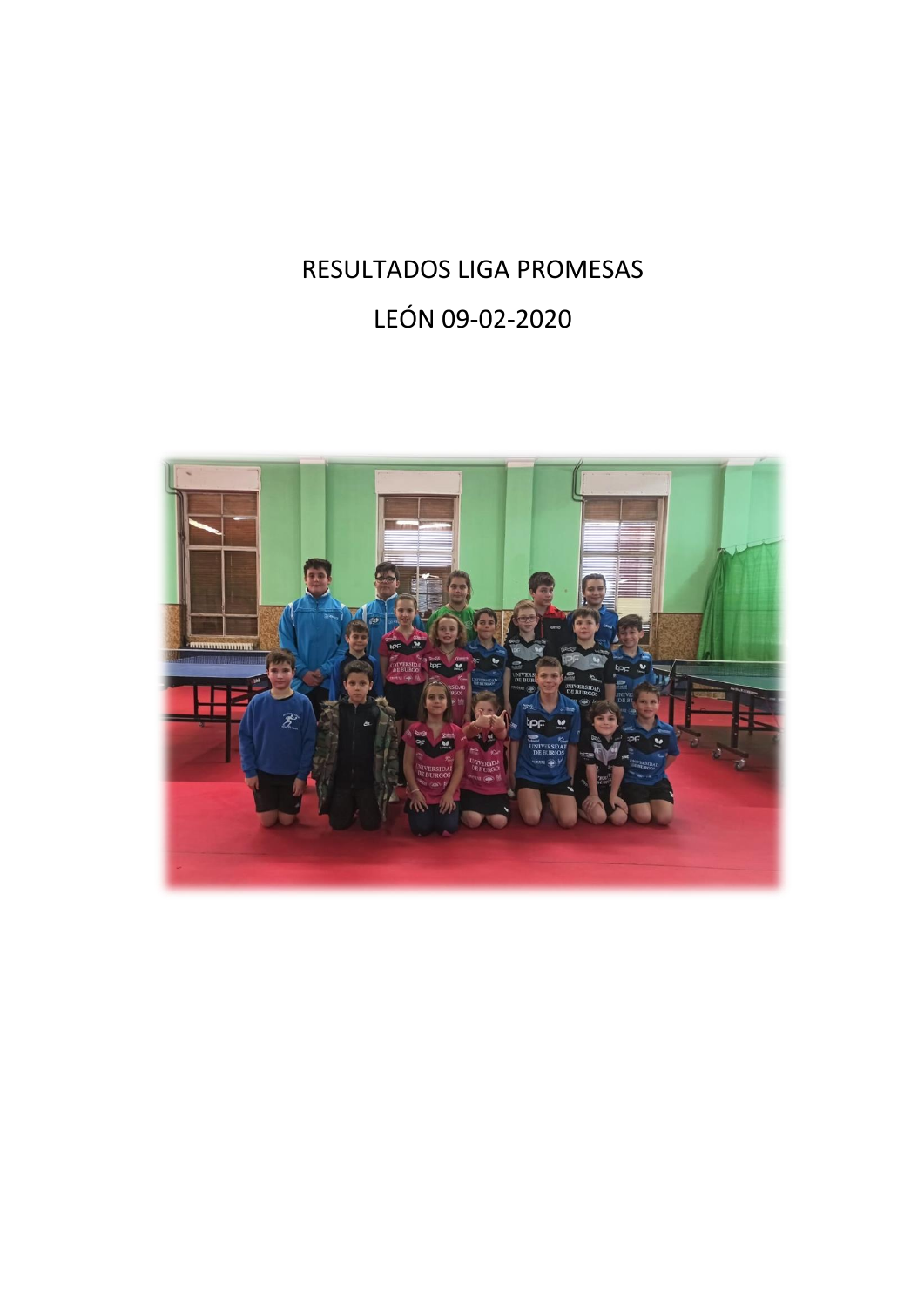# RESULTADOS LIGA PROMESAS LEÓN 09-02-2020

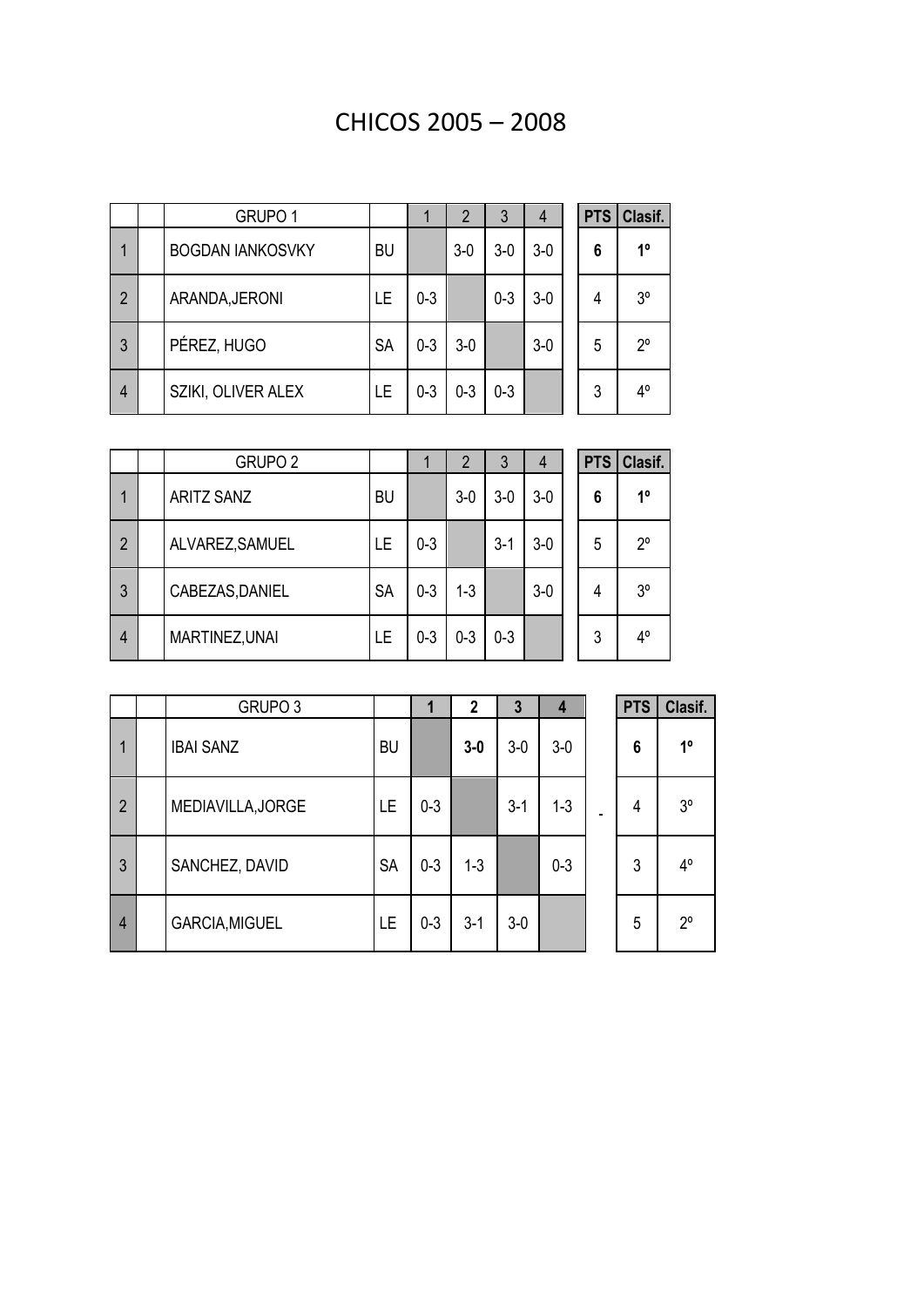## CHICOS 2005 – 2008

|                | GRUPO <sub>1</sub>      |           |         | $\overline{2}$ | 3       | $\overline{4}$ | <b>PTS</b> | Clasif.        |
|----------------|-------------------------|-----------|---------|----------------|---------|----------------|------------|----------------|
| 1              | <b>BOGDAN IANKOSVKY</b> | <b>BU</b> |         | $3-0$          | $3-0$   | $3-0$          | 6          | 1 <sup>0</sup> |
| $\overline{2}$ | ARANDA, JERONI          | LE.       | $0 - 3$ |                | $0 - 3$ | $3-0$          | 4          | $3^{\circ}$    |
| 3              | PÉREZ, HUGO             | <b>SA</b> | $0 - 3$ | $3-0$          |         | $3-0$          | 5          | 20             |
| $\overline{4}$ | SZIKI, OLIVER ALEX      | LE        | $0 - 3$ | $0 - 3$        | $0 - 3$ |                | 3          | $4^{\circ}$    |

|                | GRUPO <sub>2</sub> |           |         | 2       | 3       | $\overline{4}$ | <b>PTS</b> | Clasif.        |
|----------------|--------------------|-----------|---------|---------|---------|----------------|------------|----------------|
| 1              | <b>ARITZ SANZ</b>  | <b>BU</b> |         | $3-0$   | $3-0$   | $3-0$          | 6          | $1^{\circ}$    |
| $\overline{2}$ | ALVAREZ, SAMUEL    | LE        | $0 - 3$ |         | $3 - 1$ | $3-0$          | 5          | 20             |
| 3              | CABEZAS, DANIEL    | <b>SA</b> | $0 - 3$ | $1 - 3$ |         | $3-0$          | 4          | 3 <sup>o</sup> |
| $\overline{4}$ | MARTINEZ, UNAI     | <b>LE</b> | $0 - 3$ | $0 - 3$ | $0 - 3$ |                | 3          | $4^{\circ}$    |

|                | GRUPO <sub>3</sub> |           |         | 2       | 3       | 4       | <b>PTS</b> | Clasif.        |
|----------------|--------------------|-----------|---------|---------|---------|---------|------------|----------------|
| 1              | <b>IBAI SANZ</b>   | <b>BU</b> |         | $3-0$   | $3-0$   | $3-0$   | 6          | $1^{\circ}$    |
| $\overline{2}$ | MEDIAVILLA, JORGE  | LE        | $0 - 3$ |         | $3 - 1$ | $1 - 3$ | 4          | 3 <sup>o</sup> |
| 3              | SANCHEZ, DAVID     | <b>SA</b> | $0 - 3$ | $1 - 3$ |         | $0 - 3$ | 3          | $4^{\circ}$    |
| $\overline{4}$ | GARCIA, MIGUEL     | LE        | $0 - 3$ | $3 - 1$ | $3-0$   |         | 5          | $2^{\circ}$    |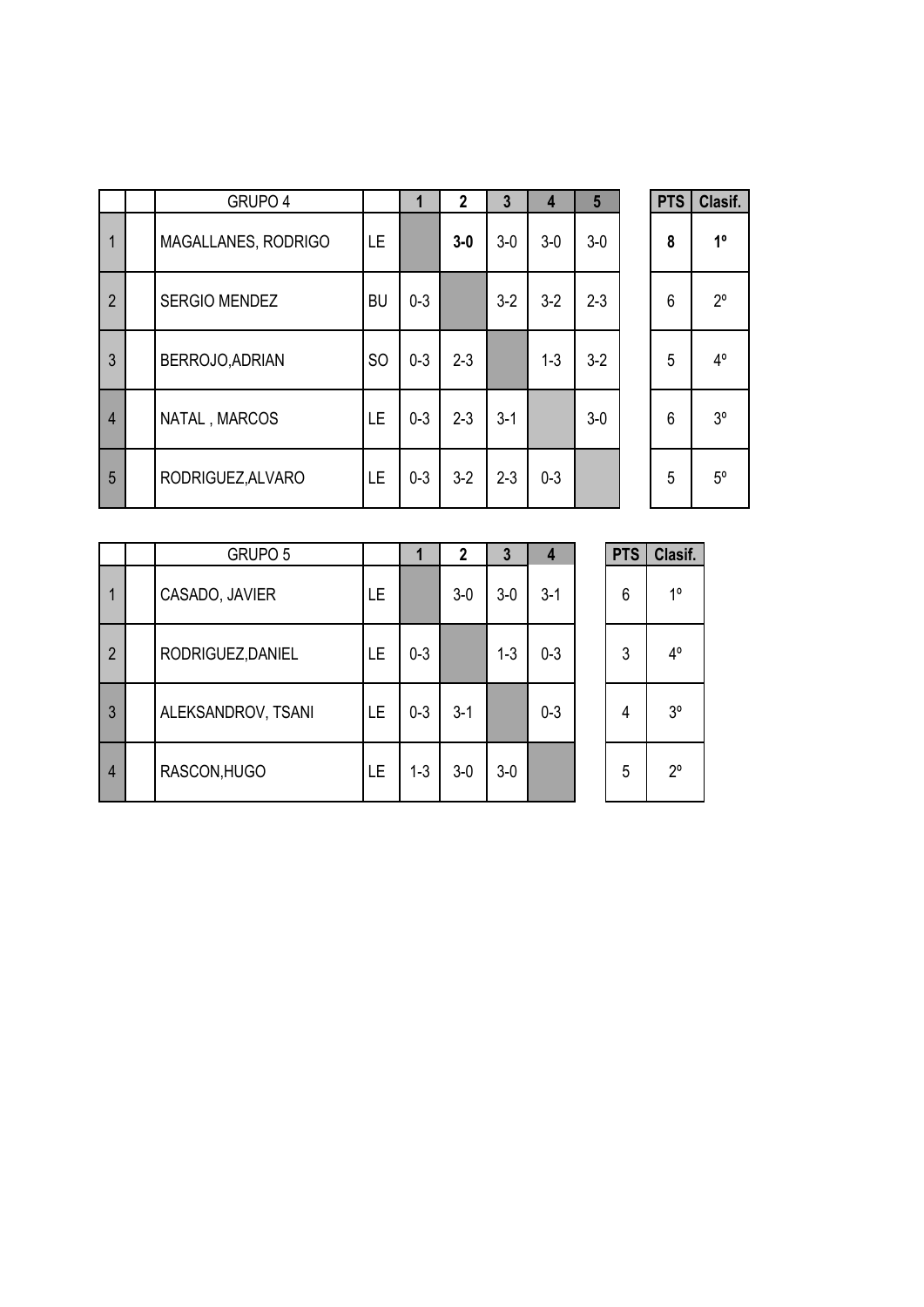|                | GRUPO 4              |               | 1       | $\mathbf{2}$ | $\mathbf{3}$ | 4       | 5       | <b>PTS</b> | Clasif.        |
|----------------|----------------------|---------------|---------|--------------|--------------|---------|---------|------------|----------------|
| $\mathbf{1}$   | MAGALLANES, RODRIGO  | LE            |         | $3-0$        | $3-0$        | $3-0$   | $3-0$   | 8          | 1 <sup>0</sup> |
| $\overline{2}$ | <b>SERGIO MENDEZ</b> | <b>BU</b>     | $0 - 3$ |              | $3-2$        | $3-2$   | $2 - 3$ | 6          | $2^{\circ}$    |
| 3              | BERROJO, ADRIAN      | <sub>SO</sub> | $0 - 3$ | $2 - 3$      |              | $1 - 3$ | $3-2$   | 5          | $4^{\circ}$    |
| $\overline{4}$ | NATAL, MARCOS        | LE            | $0 - 3$ | $2 - 3$      | $3 - 1$      |         | $3-0$   | 6          | 3 <sup>o</sup> |
| 5              | RODRIGUEZ, ALVARO    | LE            | $0 - 3$ | $3-2$        | $2 - 3$      | $0 - 3$ |         | 5          | $5^{\circ}$    |

| <b>PTS</b> | Clasif. |
|------------|---------|
| 8          | 1º      |
| 6          | 2°      |
| 5          | 4°      |
| 6          | 3°      |
| 5          | 5°      |

|                | GRUPO 5            |    |         | 2     | 3       | 4       | <b>PTS</b> | Clasif.        |
|----------------|--------------------|----|---------|-------|---------|---------|------------|----------------|
| 1              | CASADO, JAVIER     | LE |         | $3-0$ | $3-0$   | $3 - 1$ | 6          | 10             |
| $\overline{2}$ | RODRIGUEZ, DANIEL  | LE | $0 - 3$ |       | $1 - 3$ | $0 - 3$ | 3          | $4^{\circ}$    |
| 3              | ALEKSANDROV, TSANI | LE | $0 - 3$ | $3-1$ |         | $0 - 3$ | 4          | 3 <sup>o</sup> |
| $\overline{4}$ | RASCON, HUGO       | LE | $1 - 3$ | $3-0$ | $3-0$   |         | 5          | 20             |

| <b>PTS</b> | Clasif.     |
|------------|-------------|
| 6          | 1°          |
| 3          | 4°          |
| 4          | ვ∘          |
| 5          | $2^{\circ}$ |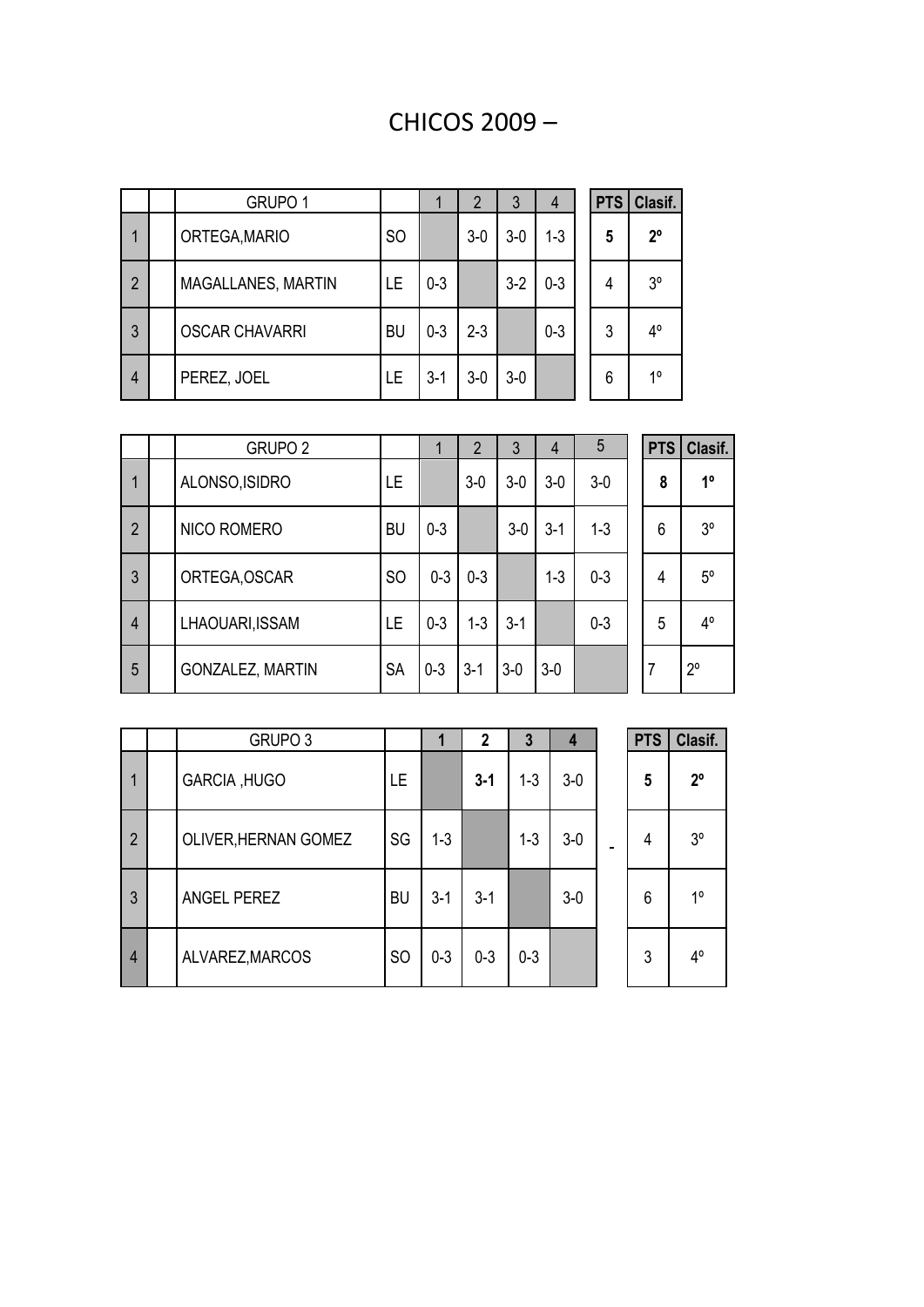## CHICOS 2009 –

|                | GRUPO <sub>1</sub>    |               |         | 2       | 3     | 4       | <b>PTS</b> | Clasif.        |
|----------------|-----------------------|---------------|---------|---------|-------|---------|------------|----------------|
|                | ORTEGA, MARIO         | <sub>SO</sub> |         | $3-0$   | $3-0$ | $1 - 3$ | 5          | $2^{\circ}$    |
| $\overline{2}$ | MAGALLANES, MARTIN    | LE            | $0 - 3$ |         | $3-2$ | $0 - 3$ | 4          | 3 <sup>o</sup> |
| 3              | <b>OSCAR CHAVARRI</b> | <b>BU</b>     | $0 - 3$ | $2 - 3$ |       | $0 - 3$ | 3          | 4°             |
| $\overline{4}$ | PEREZ, JOEL           | LE            | $3 - 1$ | $3-0$   | $3-0$ |         | 6          | 10             |

|                | GRUPO <sub>2</sub> |               |         | $\overline{2}$ | 3       | 4       | 5       | <b>PTS</b> | Clasif.     |
|----------------|--------------------|---------------|---------|----------------|---------|---------|---------|------------|-------------|
| 1              | ALONSO, ISIDRO     | LE            |         | $3-0$          | $3-0$   | $3-0$   | $3-0$   | 8          | $1^{\circ}$ |
| $\overline{2}$ | NICO ROMERO        | <b>BU</b>     | $0 - 3$ |                | $3-0$   | $3 - 1$ | $1 - 3$ | 6          | $3^{\circ}$ |
| 3              | ORTEGA, OSCAR      | <sub>SO</sub> | $0 - 3$ | $0 - 3$        |         | $1 - 3$ | $0 - 3$ | 4          | $5^{\circ}$ |
| 4              | LHAOUARI, ISSAM    | <b>LE</b>     | $0 - 3$ | $1 - 3$        | $3 - 1$ |         | $0 - 3$ | 5          | $4^{\circ}$ |
| 5              | GONZALEZ, MARTIN   | <b>SA</b>     | $0 - 3$ | $3-1$          | $3-0$   | $3-0$   |         |            | $2^{\circ}$ |

|                | GRUPO <sub>3</sub>   |                |         | $\mathbf{2}$ | 3       | 4     | <b>PTS</b> | Clasif.        |
|----------------|----------------------|----------------|---------|--------------|---------|-------|------------|----------------|
| 1              | <b>GARCIA, HUGO</b>  | LE.            |         | $3 - 1$      | $1 - 3$ | $3-0$ | 5          | $2^{\circ}$    |
| $\overline{2}$ | OLIVER, HERNAN GOMEZ | SG             | $1 - 3$ |              | $1 - 3$ | $3-0$ | 4          | 3 <sup>o</sup> |
| $\mathbf{3}$   | ANGEL PEREZ          | <b>BU</b>      | $3 - 1$ | $3 - 1$      |         | $3-0$ | 6          | $1^{\circ}$    |
| $\overline{4}$ | ALVAREZ, MARCOS      | S <sub>O</sub> | $0 - 3$ | $0 - 3$      | $0 - 3$ |       | 3          | $4^{\circ}$    |

| <b>PTS</b> | Clasif.     |
|------------|-------------|
| 5          | $2^{\circ}$ |
| 4          | 3°          |
| 6          | 1°          |
| 3          | 4°          |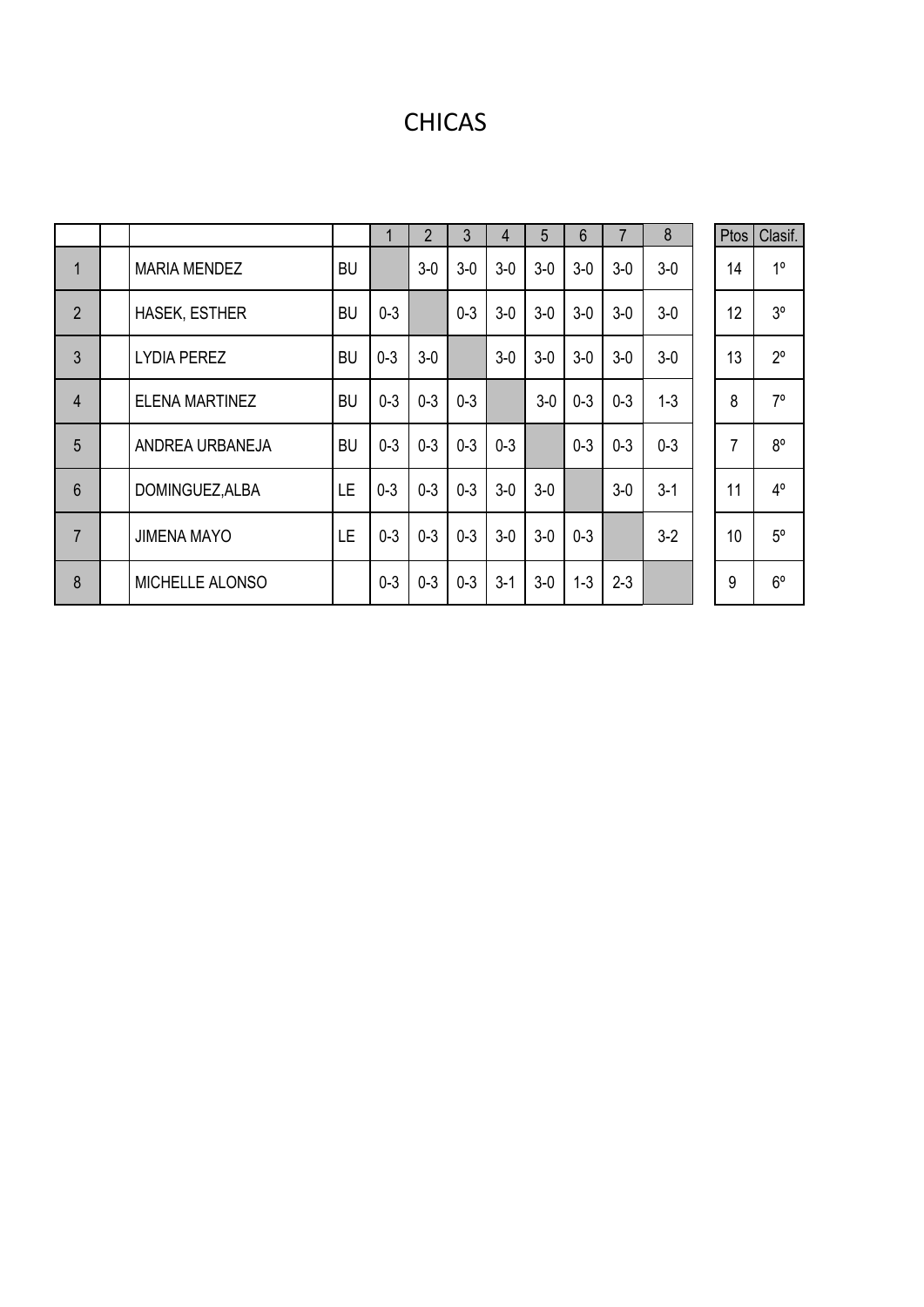## CHICAS

|                 |                       |           | 1       | $\overline{2}$ | 3       | 4       | 5     | 6       |         | 8       | Ptos           | Clasif.        |
|-----------------|-----------------------|-----------|---------|----------------|---------|---------|-------|---------|---------|---------|----------------|----------------|
| $\mathbf{1}$    | <b>MARIA MENDEZ</b>   | <b>BU</b> |         | $3-0$          | $3-0$   | $3-0$   | $3-0$ | $3-0$   | $3-0$   | $3-0$   | 14             | 1 <sup>0</sup> |
| $\overline{2}$  | <b>HASEK, ESTHER</b>  | <b>BU</b> | $0 - 3$ |                | $0 - 3$ | $3-0$   | $3-0$ | $3-0$   | $3-0$   | $3-0$   | 12             | 3 <sup>o</sup> |
| 3               | <b>LYDIA PEREZ</b>    | <b>BU</b> | $0 - 3$ | $3-0$          |         | $3-0$   | $3-0$ | $3-0$   | $3-0$   | $3-0$   | 13             | $2^{\circ}$    |
| $\overline{4}$  | <b>ELENA MARTINEZ</b> | <b>BU</b> | $0 - 3$ | $0 - 3$        | $0 - 3$ |         | $3-0$ | $0 - 3$ | $0 - 3$ | $1 - 3$ | 8              | $7^\circ$      |
| 5               | ANDREA URBANEJA       | <b>BU</b> | $0 - 3$ | $0 - 3$        | $0 - 3$ | $0 - 3$ |       | $0 - 3$ | $0 - 3$ | $0 - 3$ | $\overline{7}$ | $8^{\circ}$    |
| $6\phantom{1}6$ | DOMINGUEZ, ALBA       | <b>LE</b> | $0 - 3$ | $0 - 3$        | $0 - 3$ | $3-0$   | $3-0$ |         | $3-0$   | $3-1$   | 11             | $4^{\circ}$    |
| $\overline{7}$  | <b>JIMENA MAYO</b>    | LE.       | $0 - 3$ | $0 - 3$        | $0 - 3$ | $3-0$   | $3-0$ | $0 - 3$ |         | $3-2$   | 10             | $5^{\circ}$    |
| 8               | MICHELLE ALONSO       |           | $0 - 3$ | $0 - 3$        | $0 - 3$ | $3-1$   | $3-0$ | $1 - 3$ | $2 - 3$ |         | 9              | $6^{\circ}$    |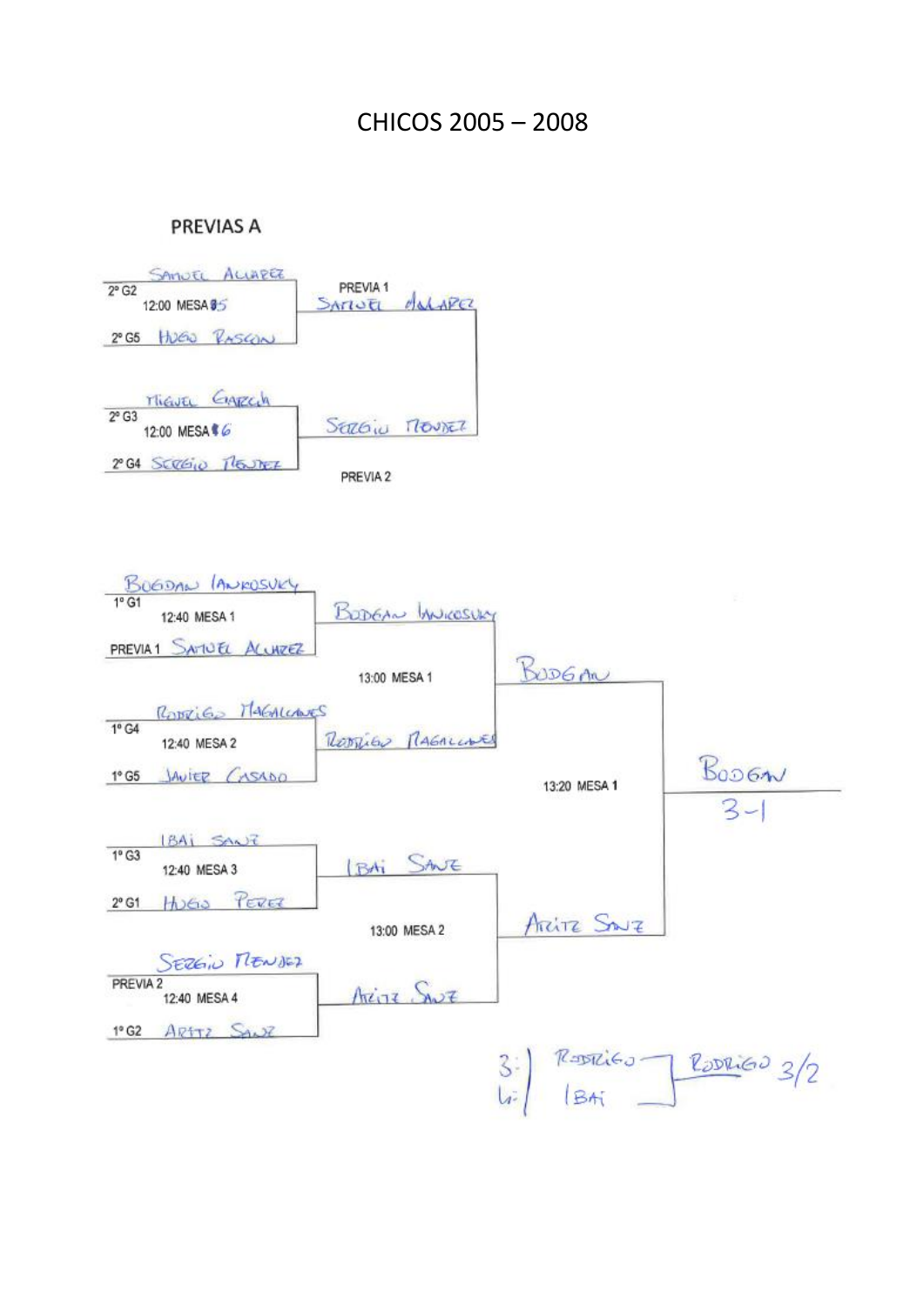### CHICOS 2005 – 2008

#### **PREVIAS A**



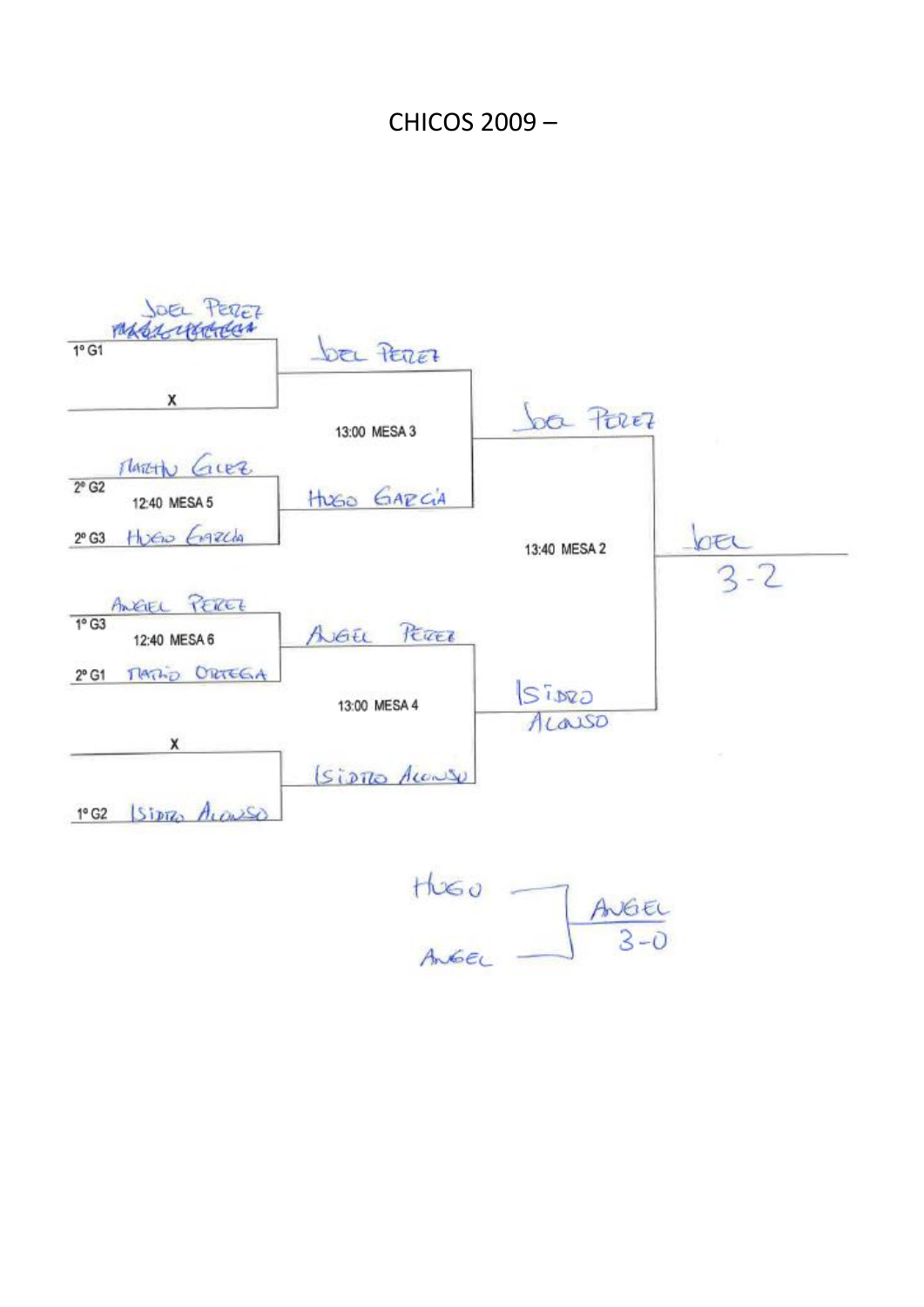## CHICOS 2009 –



HUGO<br>Angel  $AveE$